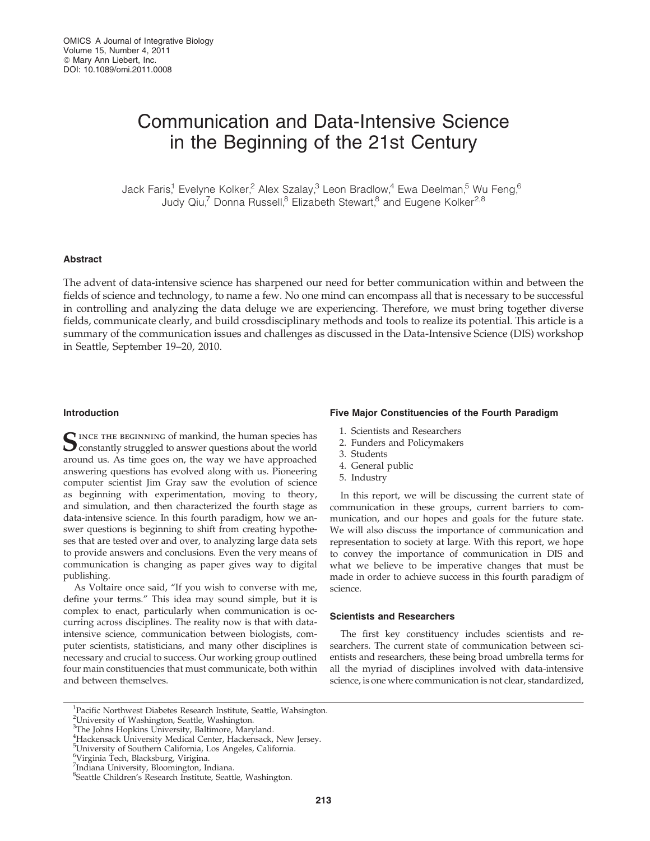# Communication and Data-Intensive Science in the Beginning of the 21st Century

Jack Faris,<sup>1</sup> Evelyne Kolker,<sup>2</sup> Alex Szalay,<sup>3</sup> Leon Bradlow,<sup>4</sup> Ewa Deelman,<sup>5</sup> Wu Feng,<sup>6</sup> Judy Qiu,<sup>7</sup> Donna Russell,<sup>8</sup> Elizabeth Stewart,<sup>8</sup> and Eugene Kolker<sup>2,8</sup>

# Abstract

The advent of data-intensive science has sharpened our need for better communication within and between the fields of science and technology, to name a few. No one mind can encompass all that is necessary to be successful in controlling and analyzing the data deluge we are experiencing. Therefore, we must bring together diverse fields, communicate clearly, and build crossdisciplinary methods and tools to realize its potential. This article is a summary of the communication issues and challenges as discussed in the Data-Intensive Science (DIS) workshop in Seattle, September 19–20, 2010.

# Introduction

SINCE THE BEGINNING of mankind, the human species has<br>constantly struggled to answer questions about the world around us. As time goes on, the way we have approached answering questions has evolved along with us. Pioneering computer scientist Jim Gray saw the evolution of science as beginning with experimentation, moving to theory, and simulation, and then characterized the fourth stage as data-intensive science. In this fourth paradigm, how we answer questions is beginning to shift from creating hypotheses that are tested over and over, to analyzing large data sets to provide answers and conclusions. Even the very means of communication is changing as paper gives way to digital publishing.

As Voltaire once said, ''If you wish to converse with me, define your terms.'' This idea may sound simple, but it is complex to enact, particularly when communication is occurring across disciplines. The reality now is that with dataintensive science, communication between biologists, computer scientists, statisticians, and many other disciplines is necessary and crucial to success. Our working group outlined four main constituencies that must communicate, both within and between themselves.

# Five Major Constituencies of the Fourth Paradigm

- 1. Scientists and Researchers
- 2. Funders and Policymakers
- 3. Students
- 4. General public
- 5. Industry

In this report, we will be discussing the current state of communication in these groups, current barriers to communication, and our hopes and goals for the future state. We will also discuss the importance of communication and representation to society at large. With this report, we hope to convey the importance of communication in DIS and what we believe to be imperative changes that must be made in order to achieve success in this fourth paradigm of science.

#### Scientists and Researchers

The first key constituency includes scientists and researchers. The current state of communication between scientists and researchers, these being broad umbrella terms for all the myriad of disciplines involved with data-intensive science, is one where communication is not clear, standardized,

<sup>2</sup> University of Washington, Seattle, Washington.

<sup>&</sup>lt;sup>1</sup>Pacific Northwest Diabetes Research Institute, Seattle, Wahsington.

<sup>&</sup>lt;sup>3</sup>The Johns Hopkins University, Baltimore, Maryland.

<sup>4</sup> Hackensack University Medical Center, Hackensack, New Jersey.

<sup>5</sup> University of Southern California, Los Angeles, California.

<sup>6</sup> Virginia Tech, Blacksburg, Virigina.

<sup>7</sup> Indiana University, Bloomington, Indiana.

<sup>8</sup> Seattle Children's Research Institute, Seattle, Washington.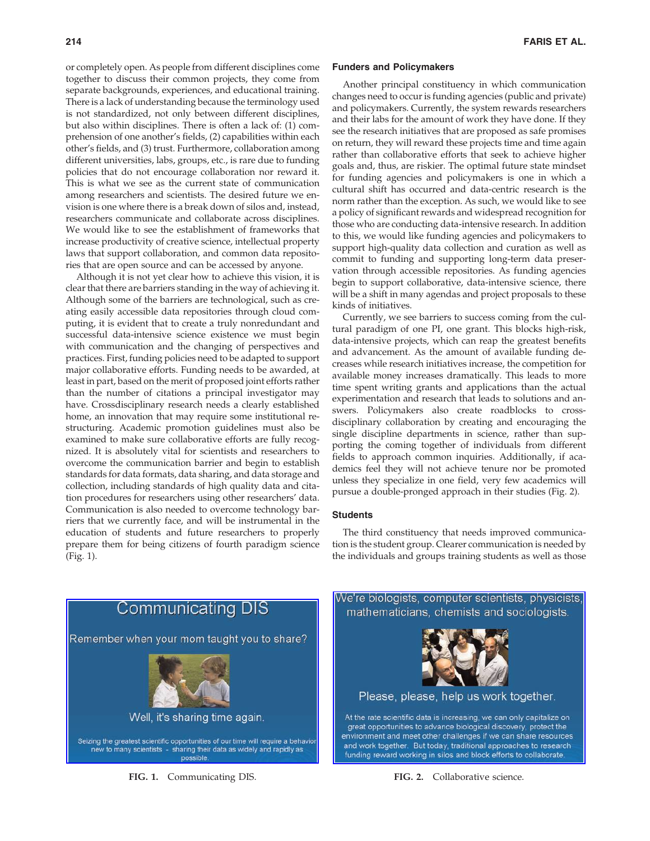or completely open. As people from different disciplines come together to discuss their common projects, they come from separate backgrounds, experiences, and educational training. There is a lack of understanding because the terminology used is not standardized, not only between different disciplines, but also within disciplines. There is often a lack of: (1) comprehension of one another's fields, (2) capabilities within each other's fields, and (3) trust. Furthermore, collaboration among different universities, labs, groups, etc., is rare due to funding policies that do not encourage collaboration nor reward it. This is what we see as the current state of communication among researchers and scientists. The desired future we envision is one where there is a break down of silos and, instead, researchers communicate and collaborate across disciplines. We would like to see the establishment of frameworks that increase productivity of creative science, intellectual property laws that support collaboration, and common data repositories that are open source and can be accessed by anyone.

Although it is not yet clear how to achieve this vision, it is clear that there are barriers standing in the way of achieving it. Although some of the barriers are technological, such as creating easily accessible data repositories through cloud computing, it is evident that to create a truly nonredundant and successful data-intensive science existence we must begin with communication and the changing of perspectives and practices. First, funding policies need to be adapted to support major collaborative efforts. Funding needs to be awarded, at least in part, based on the merit of proposed joint efforts rather than the number of citations a principal investigator may have. Crossdisciplinary research needs a clearly established home, an innovation that may require some institutional restructuring. Academic promotion guidelines must also be examined to make sure collaborative efforts are fully recognized. It is absolutely vital for scientists and researchers to overcome the communication barrier and begin to establish standards for data formats, data sharing, and data storage and collection, including standards of high quality data and citation procedures for researchers using other researchers' data. Communication is also needed to overcome technology barriers that we currently face, and will be instrumental in the education of students and future researchers to properly prepare them for being citizens of fourth paradigm science (Fig. 1).

### Funders and Policymakers

Another principal constituency in which communication changes need to occur is funding agencies (public and private) and policymakers. Currently, the system rewards researchers and their labs for the amount of work they have done. If they see the research initiatives that are proposed as safe promises on return, they will reward these projects time and time again rather than collaborative efforts that seek to achieve higher goals and, thus, are riskier. The optimal future state mindset for funding agencies and policymakers is one in which a cultural shift has occurred and data-centric research is the norm rather than the exception. As such, we would like to see a policy of significant rewards and widespread recognition for those who are conducting data-intensive research. In addition to this, we would like funding agencies and policymakers to support high-quality data collection and curation as well as commit to funding and supporting long-term data preservation through accessible repositories. As funding agencies begin to support collaborative, data-intensive science, there will be a shift in many agendas and project proposals to these kinds of initiatives.

Currently, we see barriers to success coming from the cultural paradigm of one PI, one grant. This blocks high-risk, data-intensive projects, which can reap the greatest benefits and advancement. As the amount of available funding decreases while research initiatives increase, the competition for available money increases dramatically. This leads to more time spent writing grants and applications than the actual experimentation and research that leads to solutions and answers. Policymakers also create roadblocks to crossdisciplinary collaboration by creating and encouraging the single discipline departments in science, rather than supporting the coming together of individuals from different fields to approach common inquiries. Additionally, if academics feel they will not achieve tenure nor be promoted unless they specialize in one field, very few academics will pursue a double-pronged approach in their studies (Fig. 2).

### **Students**

The third constituency that needs improved communication is the student group. Clearer communication is needed by the individuals and groups training students as well as those



FIG. 1. Communicating DIS. FIG. 2. Collaborative science.

We're biologists, computer scientists, physicists, mathematicians, chemists and sociologists.



Please, please, help us work together.

At the rate scientific data is increasing, we can only capitalize on great opportunities to advance biological discovery, protect the environment and meet other challenges if we can share resources and work together. But today, traditional approaches to research funding reward working in silos and block efforts to collaborate.